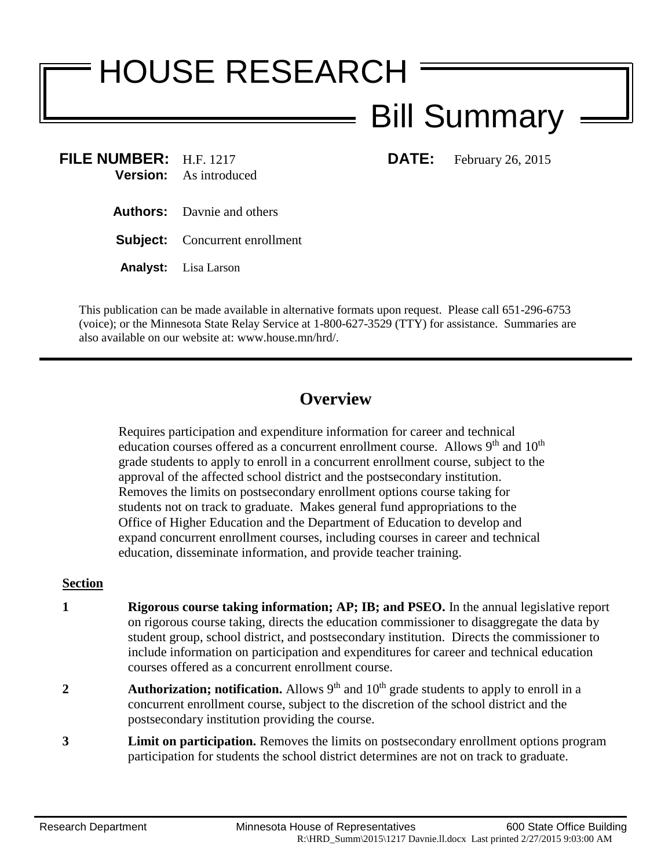# HOUSE RESEARCH

## Bill Summary

**FILE NUMBER:** H.F. 1217 **DATE:** February 26, 2015 **Version:** As introduced

- **Authors:** Davnie and others
- **Subject:** Concurrent enrollment
- **Analyst:** Lisa Larson

This publication can be made available in alternative formats upon request. Please call 651-296-6753 (voice); or the Minnesota State Relay Service at 1-800-627-3529 (TTY) for assistance. Summaries are also available on our website at: www.house.mn/hrd/.

### **Overview**

Requires participation and expenditure information for career and technical education courses offered as a concurrent enrollment course. Allows  $9<sup>th</sup>$  and  $10<sup>th</sup>$ grade students to apply to enroll in a concurrent enrollment course, subject to the approval of the affected school district and the postsecondary institution. Removes the limits on postsecondary enrollment options course taking for students not on track to graduate. Makes general fund appropriations to the Office of Higher Education and the Department of Education to develop and expand concurrent enrollment courses, including courses in career and technical education, disseminate information, and provide teacher training.

#### **Section**

- **1 Rigorous course taking information; AP; IB; and PSEO.** In the annual legislative report on rigorous course taking, directs the education commissioner to disaggregate the data by student group, school district, and postsecondary institution. Directs the commissioner to include information on participation and expenditures for career and technical education courses offered as a concurrent enrollment course.
- **2 Authorization; notification.** Allows 9<sup>th</sup> and 10<sup>th</sup> grade students to apply to enroll in a concurrent enrollment course, subject to the discretion of the school district and the postsecondary institution providing the course.
- **3 Limit on participation.** Removes the limits on postsecondary enrollment options program participation for students the school district determines are not on track to graduate.